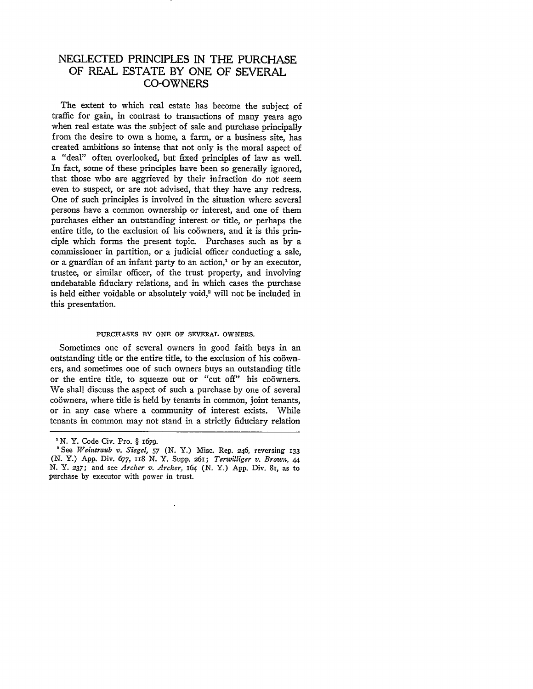# **NEGLECTED** PRINCIPLES IN THE **PURCHASE** OF REAL **ESTATE** BY **ONE** OF SEVERAL CO-OWNERS

The extent to which real estate has become the subject of traffic for gain, in contrast to transactions of many years ago when real estate was the subject of sale and purchase principally from the desire to own a home, a farm, or a business site, has created ambitions so intense that not only is the moral aspect of a "deal" often overlooked, but fixed principles of law as well. In fact, some of these principles have been so generally ignored, that those who are aggrieved by their infraction do not seem even to suspect, or are not advised, that they have any redress. One of such principles is involved in the situation where several persons have a common ownership or interest, and one of them purchases either an outstanding interest or title, or perhaps the entire title, to the exclusion of his coöwners, and it is this principle which forms the present topic. Purchases such as by a commissioner in partition, or a judicial officer conducting a sale, or a guardian of an infant party to an action,' or by an executor, trustee, or similar officer, of the trust property, and involving undebatable fiduciary relations, and in which cases the purchase is held either voidable or absolutely void,<sup>2</sup> will not be included in this presentation.

#### PURCHASES BY ONE OF SEVERAL OWNERS.

Sometimes one of several owners in good faith buys in an outstanding title or the entire title, to the exclusion of his coöwners, and sometimes one of such owners buys an outstanding title or the entire title, to squeeze out or "cut off" his coöwners. We shall discuss the aspect of such a purchase by one of several coöwners, where title is held by tenants in common, joint tenants, or in any case where a community of interest exists. While tenants in common may not stand in a strictly fiduciary relation

 $\ddot{\phantom{0}}$ 

*<sup>&#</sup>x27;N.* Y. Code Civ. Pro. § *1679.*

**<sup>2</sup>**See *Weintraub v. Siegel, 57* (N. Y.) Misc. Rep. *246,* reversing <sup>133</sup> **(N.** Y.) App. Div. 677, 118 **N.** Y. Supp. 261; *Terwilliger v. Brown, 44 N. Y.* **237;** and see *Archer v. Archer,* 164 (N. Y.) App. Div. 81, as to purchase by executor with power in trust.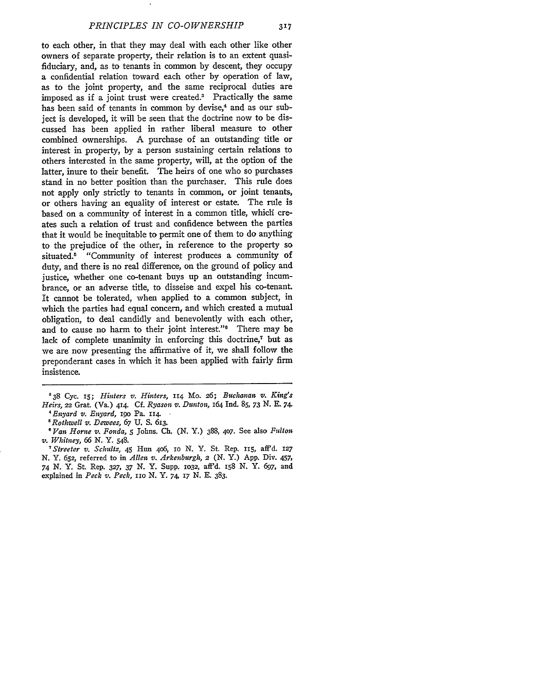to each other, in that they may deal with each other like other owners of separate property, their relation is to an extent quasifiduciary, and, as to tenants in common by descent, they occupy a confidential relation toward each other by operation of law, as to the joint property, and the same reciprocal duties are imposed as if a joint trust were created.3 Practically the same has been said of tenants in common by devise,<sup>4</sup> and as our subject is developed, it will be seen that the doctrine now to be discussed has been applied in rather liberal measure to other combined ownerships. A purchase of an outstanding title or interest in property, by a person sustaining certain relations to others interested in the same property, will, at the option of the latter, inure to their benefit. The heirs of one who so purchases stand in no better position than the purchaser. This rule does not apply only strictly to tenants in common, or joint tenants, or others having an equality of interest or estate. The rule is based on a community of interest in a common title, which creates such a relation of trust and confidence between the parties that it would be inequitable to permit one of them to do anything to the prejudice of the other, in reference to the property so situated.5 "Community of interest produces a community of duty, and there is no real difference, on the ground of policy and justice, whether one co-tenant buys up an outstanding incumbrance, or an adverse title, to disseise and expel his co-tenant. It cannot be tolerated, when applied to a common subject, in which the parties had equal concern, and which created a mutual obligation, to deal candidly and benevolently with each other, and to cause no harm to their joint interest."<sup>6</sup> There may be lack of complete unanimity in enforcing this doctrine,<sup>7</sup> but as we are now presenting the affirmative of it, we shall follow the preponderant cases in which it has been applied with fairly firm insistence.

**<sup>338</sup>**Cyc. **15;** *Hinters v. Hinters,* 114 Mo. 26; *Buchanan v. King's Heirs,* 22 Grat. (Va.) **414. Cf.** *Ryason v. Dunton,* **164** Ind. **85,** 73 **N. E. 74.** *'Enyard v. Enyard, igo* Pa. **114.**

*<sup>&#</sup>x27;Rothwell v. Dewees, 67* **U. S.** 613.

*<sup>&#</sup>x27; Van Home v. Fonda,* **5** Johns. **Ch. (N.** Y.) 388, **407.** See also *Fulton v. Whitney, 66* **N.** *Y.* 548.

*<sup>&#</sup>x27;Streeter v. Schultz,* 45 Hun 4o6, **I0 N.** Y. St. Rep. **115,** aff'd. 127 *N.* Y. *652,* referred to in *Allen v. Arkenburgh, 2* (N. Y.) App. Div. 457, *74* N. Y. St. Rep. *327, 37 N.* Y. Supp. lO32, aff'd. 158 **N.** Y. *697,* and explained in *Peck v. Peck,* IIo **N.** Y. **74,** *17* N. E. 383.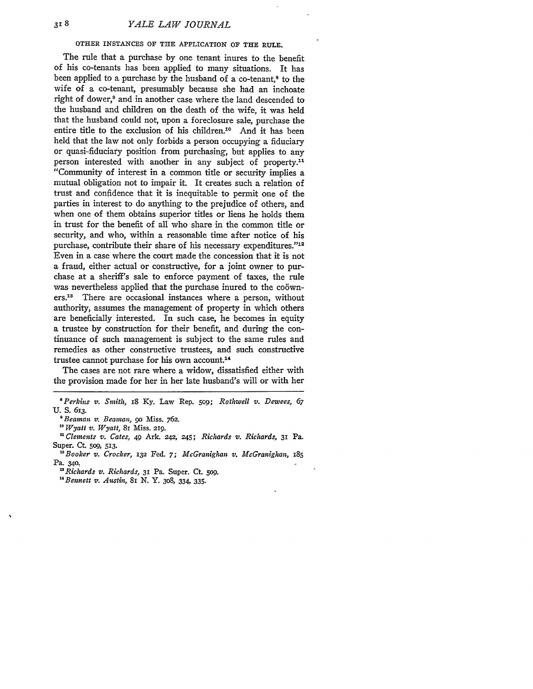### **OTHER INSTANCES OF THE APPLICATION OF THE RULE.**

The rule that a purchase by one tenant inures to the benefit of his co-tenants has been applied to many situations. It has been applied to a purchase by the husband of a co-tenant,<sup>8</sup> to the wife of a co-tenant, presumably because she had an inchoate right of dower.<sup>9</sup> and in another case where the land descended to the husband and children on the death of the wife, it was held that the husband could not, upon a foreclosure sale, purchase the entire title to the exclusion of his children.<sup>10</sup> And it has been held that the law not only forbids a person occupying a fiduciary or quasi-fiduciary position from purchasing, but applies to any person interested with another in any subject of property.<sup>11</sup> "Community of interest in a common title or security implies a mutual obligation not to impair it. It creates such a relation of trust and confidence that it is inequitable to permit one of the parties in interest to do anything to the prejudice of others, and when one of them obtains superior titles or liens he holds them in trust for the benefit of all who share in the common title or security, and who, within a reasonable time after notice of his purchase, contribute their share of his necessary expenditures."<sup>12</sup> Even in a case where the court made the concession that it is not a fraud, either actual or constructive, for a joint owner to purchase at a sheriff's sale to enforce payment of taxes, the rule was nevertheless applied that the purchase inured to the coöwners.'3 There are occasional instances where a person, without authority, assumes the management of property in which others are beneficially interested. In such case, he becomes in equity a trustee by construction for their benefit, and during the continuance of such management is subject to the same rules and remedies as other constructive trustees, and such constructive trustee cannot purchase for his own account.<sup>14</sup>

The cases are not rare where a widow, dissatisfied either with the provision made for her in her late husband's will or with her

*'Beaman v. Beaman,* **9o** Miss. 762.

*Wyatt v. Wyatt,* 81 Miss. *219.*

*Clevients v. Cates,* 49 Ark. *242,* 245; *Richards v. Richards,* 31 Pa. Super. Ct. *509,* 513.

*'Booker v. Crocker,* 132 Fed. **7;** *McGranighan v. McGranighan,* **<sup>185</sup>** Pa. **340.**

*'Richards v. Richards,* 31 Pa. Super. Ct. **509.** *'<sup>4</sup> Bennett v. Austin,* 81 **N.** Y. 308, *334, 335.*

*<sup>&#</sup>x27;Perkits v. Smith.,* i8 **Ky.** Law Rep. **509;** *Rothwell v. Dewees, 67* **U.** S. 613.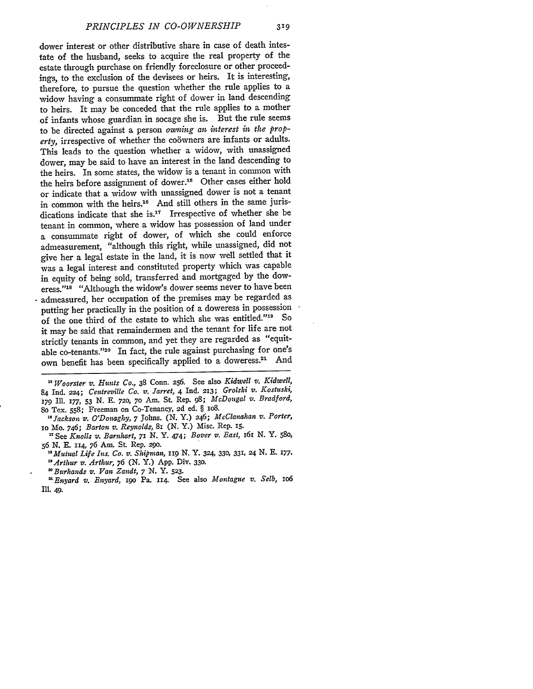319

dower interest or other distributive share in case of death intestate of the husband, seeks to acquire the real property of the estate through purchase on friendly foreclosure or other proceedings, to the exclusion of the devisees or heirs. It is interesting, therefore, to pursue the question whether the rule applies to a widow having a consummate right of dower in land descending to heirs. It may be conceded that the rule applies to a mother of infants whose guardian in socage she is. But the rule seems to be directed against a person *owning an interest in the prop*erty, irrespective of whether the coöwners are infants or adults. This leads to the question whether a widow, with unassigned dower, may be said to have an interest in the land descending to the heirs. In some states, the widow is a tenant in common with the heirs before assignment of dower.15 Other cases either hold or indicate that a widow with unassigned dower is not a tenant in common with the heirs.<sup>16</sup> And still others in the same jurisdications indicate that she **is.<sup>1</sup> <sup>7</sup>**Irrespective of whether she be tenant in common, where a widow has possession of land under a consummate right of dower, of which she could enforce admeasurement, "although this right, while unassigned, did not give her a legal estate in the land, it is now well settled that it was a legal interest and constituted property which was capable in equity of being sold, transferred and mortgaged by the doweress."<sup>18</sup> "Although the widow's dower seems never to have been admeasured, her occupation of the premises may be regarded as putting her practically in the position of a doweress in possession of the one third of the estate to which she was entitled."19 So it may be said that remaindermen and the tenant for life are not strictly tenants in common, and yet they are regarded as "equitable co-tenants."<sup>20</sup> In fact, the rule against purchasing for one's own benefit has been specifically applied to a doweress.<sup>21</sup> And

*Woorster v. Hunts Co.,* **38** Conn. **256.** See also *Kidwell v. Kidwell,* Ind. 224; *Centreville Co. v. Jarret,* 4 Ind. **213;** *Grolski v. Kostuski,* Ill. *177,* **53** N. E. **720,** 7o Am. St. Rep. **98;** *McDougal v. Bradford,* So Tex. 558; Freeman on Co-Tenancy, **2d** ed. § io8.

*' Jackson v. O'Donaghy, 7* Johns. **(N.** Y.) 246; *McClanahan v. Porter,* io Mo. 746; *Barton* **v.** *Reynolds,* 81 (N. Y.) Misc. Rep. **15.**

**"'** See *Knolls v. Barnhart, 71* N. Y. 474; *Bover v. East, i6i* N. Y. 58o, **<sup>56</sup>**N. E. 114, *76* Am. St Rep. 29o.

*'Mutual Life Ins. Co. v. Shipman,* 11g N. Y. 324, **330, 331,** 24 N. E. **177.**

*'Arthur v. Arthur, 76* (N. Y.) App. Div. **330.**

*" Burhands v. Van Zandt, 7* N. Y. **523.**

*Enyard v. Enyard, igo* Pa. 114. See also *Montague v.* Selb, *io6* Ili *49.*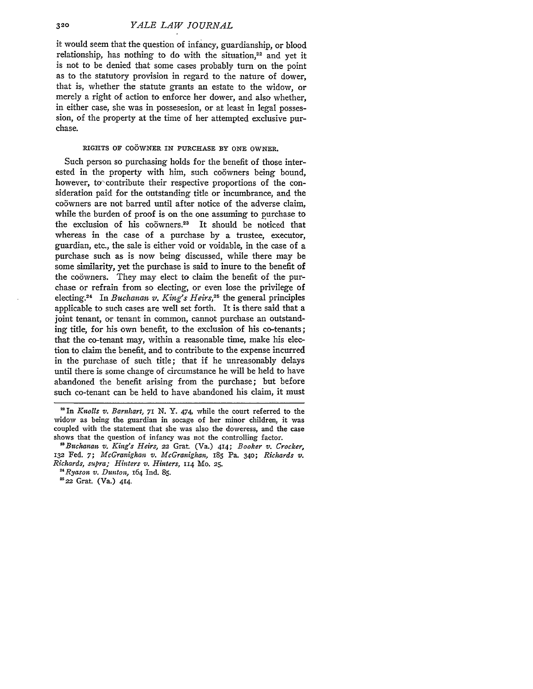it would seem that the question of infancy, guardianship, or blood relationship, has nothing to do with the situation,<sup>22</sup> and yet it is not to be denied that some cases probably turn on the point as to the statutory provision in regard to the nature of dower, that is, whether the statute grants an estate to the widow, or merely a right of action to enforce her dower, and also whether, in either case, she was in possesesion, or at least in legal possession, of the property at the time of her attempted exclusive purchase.

## RIGHTS OF COWNER **IN PURCHASE** BY **ONE** OWNER.

Such person so purchasing holds for the benefit of those interested in the property with him, such coöwners being bound, however, to contribute their respective proportions of the consideration paid for the outstanding title or incumbrance, and the coöwners are not barred until after notice of the adverse claim. while the burden of proof is on the one assuming to purchase to the exclusion of his coöwners.<sup>23</sup> It should be noticed that whereas in the case of a purchase by a trustee, executor, guardian, etc., the sale is either void or voidable, in the case of a purchase such as is now being discussed, while there may be some similarity, yet the purchase is said to inure to the benefit of the coöwners. They may elect to claim the benefit of the purchase or refrain from so electing, or even lose the privilege of electing.<sup>24</sup> In *Buchanan v. King's Heirs*,<sup>25</sup> the general principles applicable to such cases are well set forth. It is there said that a joint tenant, or tenant in common, cannot purchase an outstanding title, for his own benefit, to the exclusion of his co-tenants; that the co-tenant may, within a reasonable time, make his election to claim the benefit, and to contribute to the expense incurred in the purchase of such title; that if he unreasonably delays until there is some change of circumstance he will be held to have abandoned the benefit arising from the purchase; but before such co-tenant can be held to have abandoned his claim, it must

**<sup>&#</sup>x27;In** *Knolls v.* Barnhart, *71 N.* Y. 474, while the court referred to the widow as being the guardian in socage of her minor children, it was coupled with the statement that she was also the doweress, and the case shows that the question of infancy was not the controlling factor.

*<sup>&#</sup>x27;Buchanan v. King's Heirs,* 22 Grat. (Va.) 414; *Booker v. Crocker,* 132 Fed. *7; McGranighan v. McGranighan,* 185 Pa. **340;** *Richards v. Richards, supra; Hinters v. Hinters,* 114 Mo. **25.** *'<sup>4</sup> Ryason v. Dunton,* 164 Ind. **85.**

**<sup>2522</sup>** Grat. (Va.) 414.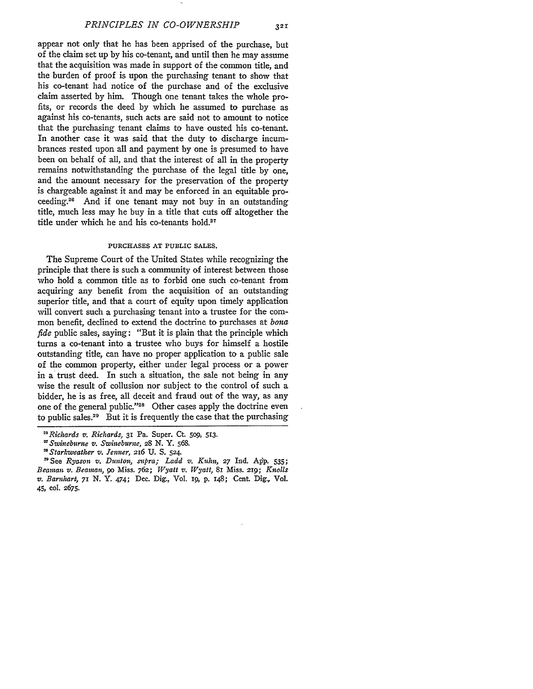appear not only that he has been apprised of the purchase, but of the claim set up by his co-tenant, and until then he may assume that the acquisition was made in support of the common title, and the burden of proof is upon the purchasing tenant to show that his co-tenant had notice of the purchase and of the exclusive claim asserted by him. Though one tenant takes the whole profits, or records the deed by which he assumed to purchase as against his co-tenants, such acts are said not to amount to notice that the purchasing tenant claims to have ousted his co-tenant. In another case it was said that the duty to discharge incumbrances rested upon all and payment by one is presumed to have been on behalf of all, and that the interest of all in the property remains notwithstanding the purchase of the legal title by one, and the amount necessary for the preservation of the property is chargeable against it and may be enforced in an equitable proceeding.<sup>26</sup> And if one tenant may not buy in an outstanding title, much less may he buy in a title that cuts off altogether the title under which he and his co-tenants hold.<sup>27</sup>

#### **PURCHASES AT** PUBLIC **SALES.**

The Supreme Court of the United States while recognizing the principle that there is such a community of interest between those who hold a common title as to forbid one such co-tenant from acquiring any benefit from the acquisition of an outstanding superior title, and that a court of equity upon timely application will convert such a purchasing tenant into a trustee for the common benefit, declined to extend the doctrine to purchases at *bona fide* public sales, saying: "But it is plain that the principle which turns a co-tenant into a trustee who buys for himself a hostile outstanding title, can have no proper application to a public sale of the common property, either under legal process or a power in a trust deed. In such a situation, the sale not being in any wise the result of collusion nor subject to the control of such a bidder, he is as free, all deceit and fraud out of the way, as any one of the general public."28 Other cases apply the doctrine even to public sales.<sup>29</sup> But it is frequently the case that the purchasing

"See *Ryason v. Dunton, supra; Ladd v. Kuhn,* **27** Ind. App. **535;** *Beaman* **v.** *Beaman,* go Miss. 762; *Wyatt* **v.** *Wyatt,* 81 Miss. 219; *Knolls vt. Barnhart,* 71 N. Y. 474; Dec. Dig., Vol. *19,* **p. 148;** Cent. Dig., Vol. 45, col. **2675.**

*<sup>&</sup>quot;Richards v. Richards,* **31** Pa. Super. Ct. **509, 513.**

*<sup>&#</sup>x27;Swineburne v. Swineburne,* 28 **N. Y. 568.**

*<sup>&#</sup>x27;Starkweather v. Jenner,* 216 **U. S.** 524.